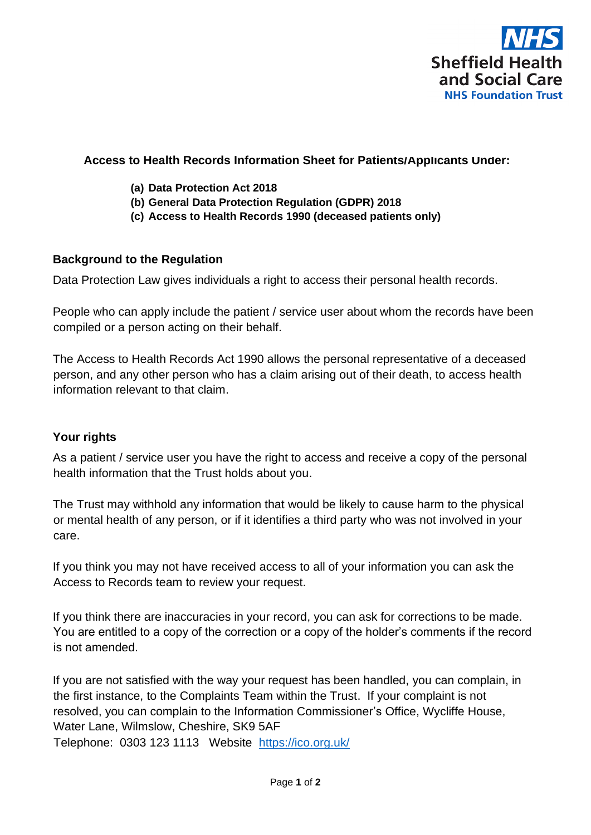

### **Access to Health Records Information Sheet for Patients/Applicants Under:**

- **(a) Data Protection Act 2018**
- **(b) General Data Protection Regulation (GDPR) 2018**
- **(c) Access to Health Records 1990 (deceased patients only)**

### **Background to the Regulation**

Data Protection Law gives individuals a right to access their personal health records.

People who can apply include the patient / service user about whom the records have been compiled or a person acting on their behalf.

The Access to Health Records Act 1990 allows the personal representative of a deceased person, and any other person who has a claim arising out of their death, to access health information relevant to that claim.

#### **Your rights**

As a patient / service user you have the right to access and receive a copy of the personal health information that the Trust holds about you.

The Trust may withhold any information that would be likely to cause harm to the physical or mental health of any person, or if it identifies a third party who was not involved in your care.

If you think you may not have received access to all of your information you can ask the Access to Records team to review your request.

If you think there are inaccuracies in your record, you can ask for corrections to be made. You are entitled to a copy of the correction or a copy of the holder's comments if the record is not amended.

If you are not satisfied with the way your request has been handled, you can complain, in the first instance, to the Complaints Team within the Trust. If your complaint is not resolved, you can complain to the Information Commissioner's Office, Wycliffe House, Water Lane, Wilmslow, Cheshire, SK9 5AF Telephone: 0303 123 1113 Website <https://ico.org.uk/>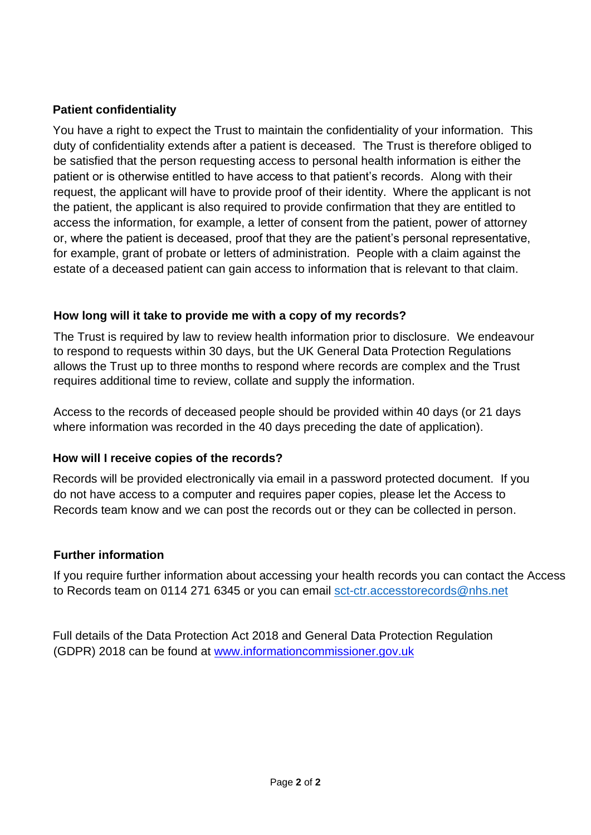# **Patient confidentiality**

You have a right to expect the Trust to maintain the confidentiality of your information. This duty of confidentiality extends after a patient is deceased. The Trust is therefore obliged to be satisfied that the person requesting access to personal health information is either the patient or is otherwise entitled to have access to that patient's records. Along with their request, the applicant will have to provide proof of their identity. Where the applicant is not the patient, the applicant is also required to provide confirmation that they are entitled to access the information, for example, a letter of consent from the patient, power of attorney or, where the patient is deceased, proof that they are the patient's personal representative, for example, grant of probate or letters of administration. People with a claim against the estate of a deceased patient can gain access to information that is relevant to that claim.

## **How long will it take to provide me with a copy of my records?**

The Trust is required by law to review health information prior to disclosure. We endeavour to respond to requests within 30 days, but the UK General Data Protection Regulations allows the Trust up to three months to respond where records are complex and the Trust requires additional time to review, collate and supply the information.

Access to the records of deceased people should be provided within 40 days (or 21 days where information was recorded in the 40 days preceding the date of application).

### **How will I receive copies of the records?**

Records will be provided electronically via email in a password protected document. If you do not have access to a computer and requires paper copies, please let the Access to Records team know and we can post the records out or they can be collected in person.

### **Further information**

If you require further information about accessing your health records you can contact the Access to Records team on 0114 271 6345 or you can email [sct-ctr.accesstorecords@nhs.net](mailto:sct-ctr.accesstorecords@nhs.net)

Full details of the Data Protection Act 2018 and General Data Protection Regulation (GDPR) 2018 can be found at [www.informationcommissioner.gov.uk](http://www.informationcommissioner.gov.uk/)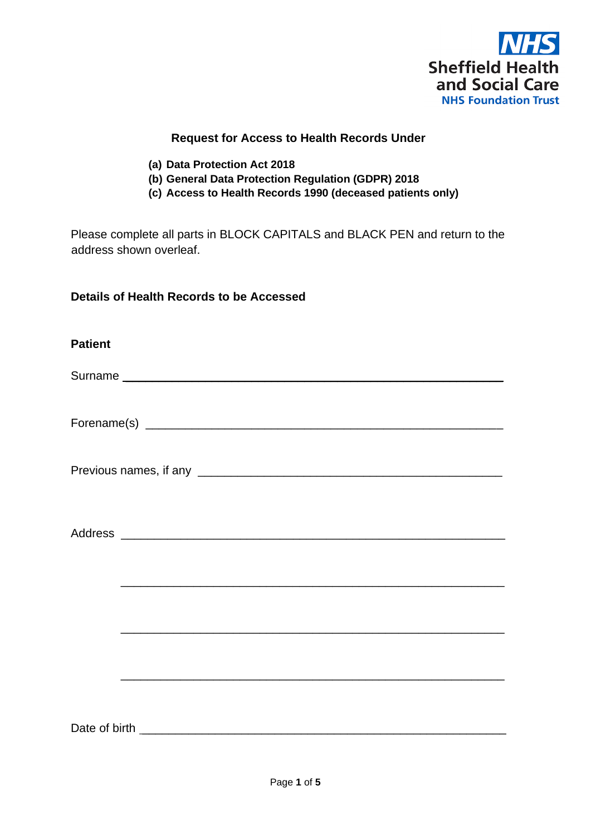

#### **Request for Access to Health Records Under**

- **(a) Data Protection Act 2018**
- **(b) General Data Protection Regulation (GDPR) 2018**
- **(c) Access to Health Records 1990 (deceased patients only)**

Please complete all parts in BLOCK CAPITALS and BLACK PEN and return to the address shown overleaf.

#### **Details of Health Records to be Accessed**

| <b>Patient</b> |  |  |  |
|----------------|--|--|--|
|                |  |  |  |
|                |  |  |  |
|                |  |  |  |
|                |  |  |  |
|                |  |  |  |
|                |  |  |  |
|                |  |  |  |
|                |  |  |  |
|                |  |  |  |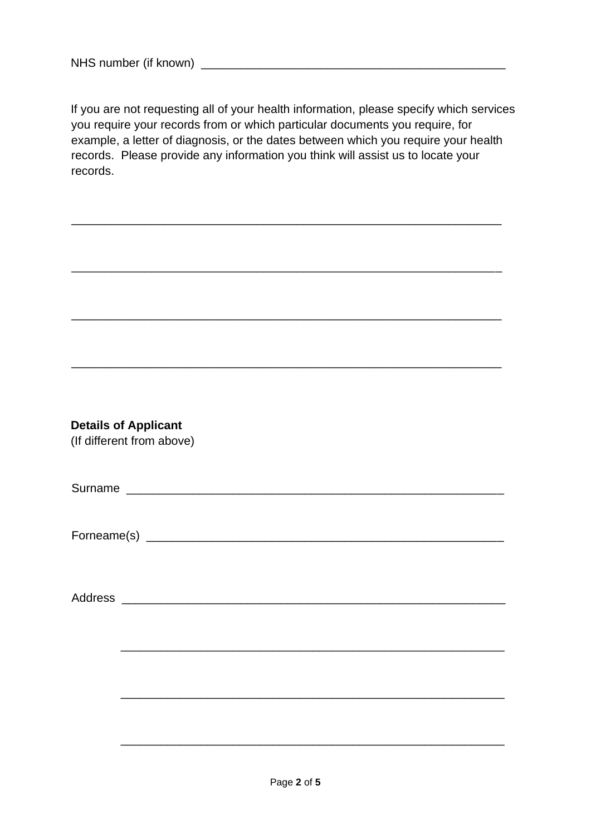If you are not requesting all of your health information, please specify which services you require your records from or which particular documents you require, for example, a letter of diagnosis, or the dates between which you require your health records. Please provide any information you think will assist us to locate your records.

\_\_\_\_\_\_\_\_\_\_\_\_\_\_\_\_\_\_\_\_\_\_\_\_\_\_\_\_\_\_\_\_\_\_\_\_\_\_\_\_\_\_\_\_\_\_\_\_\_\_\_\_\_\_\_\_\_\_\_\_\_\_\_\_\_

\_\_\_\_\_\_\_\_\_\_\_\_\_\_\_\_\_\_\_\_\_\_\_\_\_\_\_\_\_\_\_\_\_\_\_\_\_\_\_\_\_\_\_\_\_\_\_\_\_\_\_\_\_\_\_\_\_\_\_\_\_\_\_\_\_

\_\_\_\_\_\_\_\_\_\_\_\_\_\_\_\_\_\_\_\_\_\_\_\_\_\_\_\_\_\_\_\_\_\_\_\_\_\_\_\_\_\_\_\_\_\_\_\_\_\_\_\_\_\_\_\_\_\_\_\_\_\_\_\_\_

\_\_\_\_\_\_\_\_\_\_\_\_\_\_\_\_\_\_\_\_\_\_\_\_\_\_\_\_\_\_\_\_\_\_\_\_\_\_\_\_\_\_\_\_\_\_\_\_\_\_\_\_\_\_\_\_\_\_\_\_\_\_\_\_\_

|  | <b>Details of Applicant</b> |  |
|--|-----------------------------|--|
|--|-----------------------------|--|

(If different from above)

Forneame(s) \_\_\_\_\_\_\_\_\_\_\_\_\_\_\_\_\_\_\_\_\_\_\_\_\_\_\_\_\_\_\_\_\_\_\_\_\_\_\_\_\_\_\_\_\_\_\_\_\_\_\_\_\_\_

Address \_\_\_\_\_\_\_\_\_\_\_\_\_\_\_\_\_\_\_\_\_\_\_\_\_\_\_\_\_\_\_\_\_\_\_\_\_\_\_\_\_\_\_\_\_\_\_\_\_\_\_\_\_\_\_\_\_\_

\_\_\_\_\_\_\_\_\_\_\_\_\_\_\_\_\_\_\_\_\_\_\_\_\_\_\_\_\_\_\_\_\_\_\_\_\_\_\_\_\_\_\_\_\_\_\_\_\_\_\_\_\_\_\_\_\_\_

\_\_\_\_\_\_\_\_\_\_\_\_\_\_\_\_\_\_\_\_\_\_\_\_\_\_\_\_\_\_\_\_\_\_\_\_\_\_\_\_\_\_\_\_\_\_\_\_\_\_\_\_\_\_\_\_\_\_

\_\_\_\_\_\_\_\_\_\_\_\_\_\_\_\_\_\_\_\_\_\_\_\_\_\_\_\_\_\_\_\_\_\_\_\_\_\_\_\_\_\_\_\_\_\_\_\_\_\_\_\_\_\_\_\_\_\_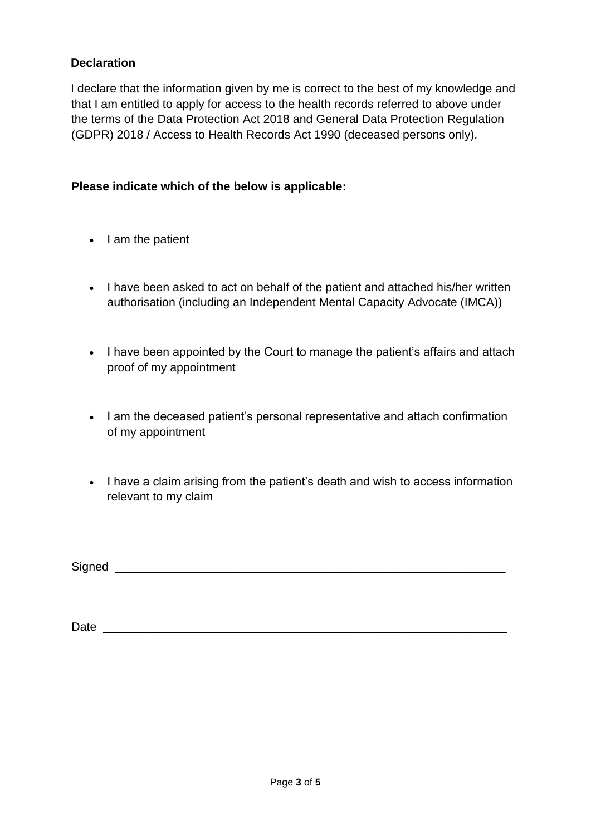### **Declaration**

I declare that the information given by me is correct to the best of my knowledge and that I am entitled to apply for access to the health records referred to above under the terms of the Data Protection Act 2018 and General Data Protection Regulation (GDPR) 2018 / Access to Health Records Act 1990 (deceased persons only).

### **Please indicate which of the below is applicable:**

- I am the patient
- I have been asked to act on behalf of the patient and attached his/her written authorisation (including an Independent Mental Capacity Advocate (IMCA))
- I have been appointed by the Court to manage the patient's affairs and attach proof of my appointment
- I am the deceased patient's personal representative and attach confirmation of my appointment
- I have a claim arising from the patient's death and wish to access information relevant to my claim

| Signed |  |
|--------|--|
|        |  |

Date \_\_\_\_\_\_\_\_\_\_\_\_\_\_\_\_\_\_\_\_\_\_\_\_\_\_\_\_\_\_\_\_\_\_\_\_\_\_\_\_\_\_\_\_\_\_\_\_\_\_\_\_\_\_\_\_\_\_\_\_\_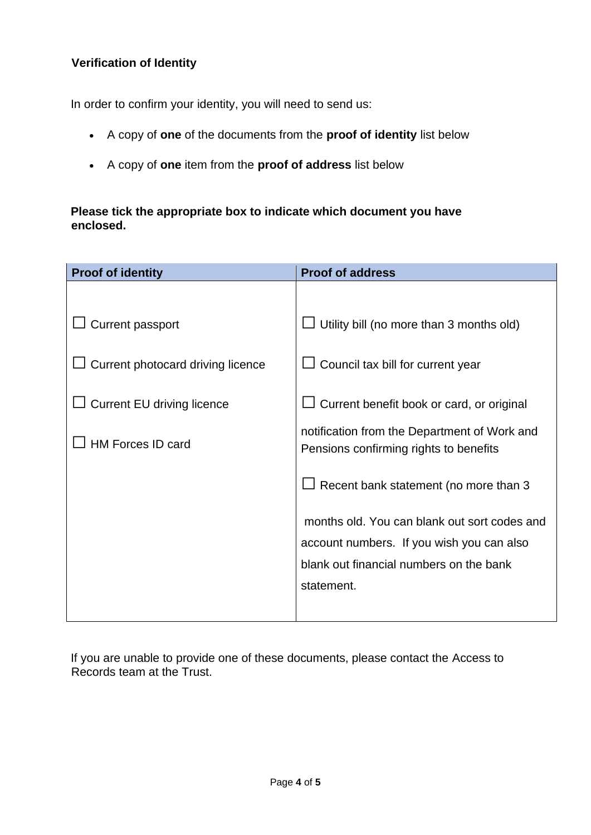## **Verification of Identity**

In order to confirm your identity, you will need to send us:

- A copy of **one** of the documents from the **proof of identity** list below
- A copy of **one** item from the **proof of address** list below

## **Please tick the appropriate box to indicate which document you have enclosed.**

| <b>Proof of identity</b>          | <b>Proof of address</b>                                                                |
|-----------------------------------|----------------------------------------------------------------------------------------|
|                                   |                                                                                        |
| Current passport                  | Utility bill (no more than 3 months old)                                               |
| Current photocard driving licence | Council tax bill for current year                                                      |
| <b>Current EU driving licence</b> | Current benefit book or card, or original                                              |
| <b>HM Forces ID card</b>          | notification from the Department of Work and<br>Pensions confirming rights to benefits |
|                                   | $\Box$ Recent bank statement (no more than 3                                           |
|                                   | months old. You can blank out sort codes and                                           |
|                                   | account numbers. If you wish you can also                                              |
|                                   | blank out financial numbers on the bank                                                |
|                                   | statement.                                                                             |
|                                   |                                                                                        |

If you are unable to provide one of these documents, please contact the Access to Records team at the Trust.